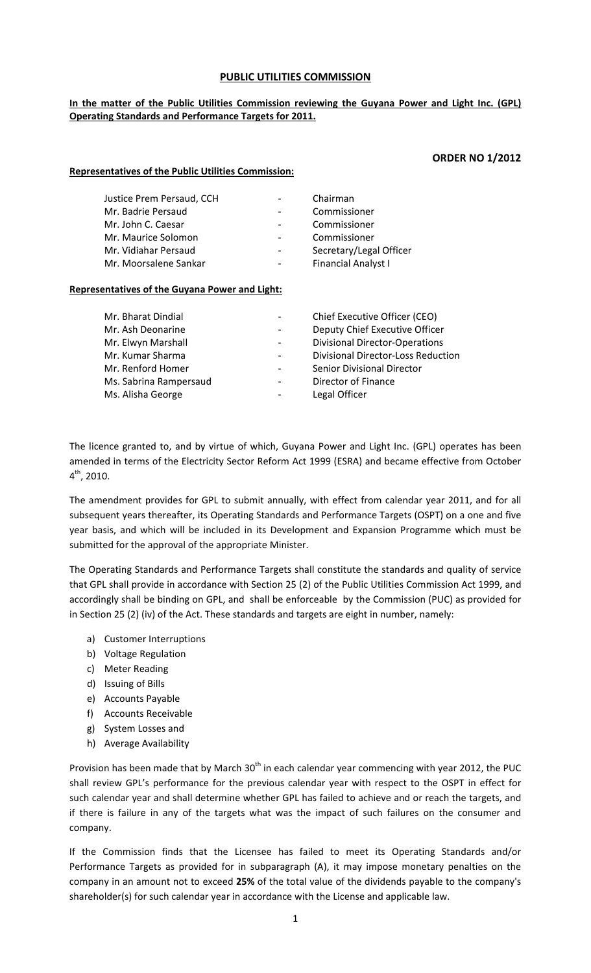#### **PUBLIC UTILITIES COMMISSION**

#### **In the matter of the Public Utilities Commission reviewing the Guyana Power and Light Inc. (GPL) Operating Standards and Performance Targets for 2011.**

#### **ORDER NO 1/2012**

| <b>Representatives of the Public Utilities Commission:</b> |
|------------------------------------------------------------|
|------------------------------------------------------------|

| Justice Prem Persaud, CCH | Chairman                   |
|---------------------------|----------------------------|
| Mr. Badrie Persaud        | Commissioner               |
| Mr. John C. Caesar        | Commissioner               |
| Mr. Maurice Solomon       | Commissioner               |
| Mr. Vidiahar Persaud      | Secretary/Legal Officer    |
| Mr. Moorsalene Sankar     | <b>Financial Analyst I</b> |
|                           |                            |

#### **Representatives of the Guyana Power and Light:**

| Mr. Bharat Dindial     |                          | Chief Executive Officer (CEO)             |
|------------------------|--------------------------|-------------------------------------------|
| Mr. Ash Deonarine      | $\overline{\phantom{a}}$ | Deputy Chief Executive Officer            |
| Mr. Elwyn Marshall     | $\overline{\phantom{a}}$ | <b>Divisional Director-Operations</b>     |
| Mr. Kumar Sharma       | $\overline{\phantom{a}}$ | <b>Divisional Director-Loss Reduction</b> |
| Mr. Renford Homer      |                          | Senior Divisional Director                |
| Ms. Sabrina Rampersaud | $\overline{\phantom{a}}$ | Director of Finance                       |
| Ms. Alisha George      |                          | Legal Officer                             |

The licence granted to, and by virtue of which, Guyana Power and Light Inc. (GPL) operates has been amended in terms of the Electricity Sector Reform Act 1999 (ESRA) and became effective from October  $4^{th}$ , 2010.

The amendment provides for GPL to submit annually, with effect from calendar year 2011, and for all subsequent years thereafter, its Operating Standards and Performance Targets (OSPT) on a one and five year basis, and which will be included in its Development and Expansion Programme which must be submitted for the approval of the appropriate Minister.

The Operating Standards and Performance Targets shall constitute the standards and quality of service that GPL shall provide in accordance with Section 25 (2) of the Public Utilities Commission Act 1999, and accordingly shall be binding on GPL, and shall be enforceable by the Commission (PUC) as provided for in Section 25 (2) (iv) of the Act. These standards and targets are eight in number, namely:

- a) Customer Interruptions
- b) Voltage Regulation
- c) Meter Reading
- d) Issuing of Bills
- e) Accounts Payable
- f) Accounts Receivable
- g) System Losses and
- h) Average Availability

Provision has been made that by March 30<sup>th</sup> in each calendar year commencing with year 2012, the PUC shall review GPL's performance for the previous calendar year with respect to the OSPT in effect for such calendar year and shall determine whether GPL has failed to achieve and or reach the targets, and if there is failure in any of the targets what was the impact of such failures on the consumer and company.

If the Commission finds that the Licensee has failed to meet its Operating Standards and/or Performance Targets as provided for in subparagraph (A), it may impose monetary penalties on the company in an amount not to exceed **25%** of the total value of the dividends payable to the company's shareholder(s) for such calendar year in accordance with the License and applicable law.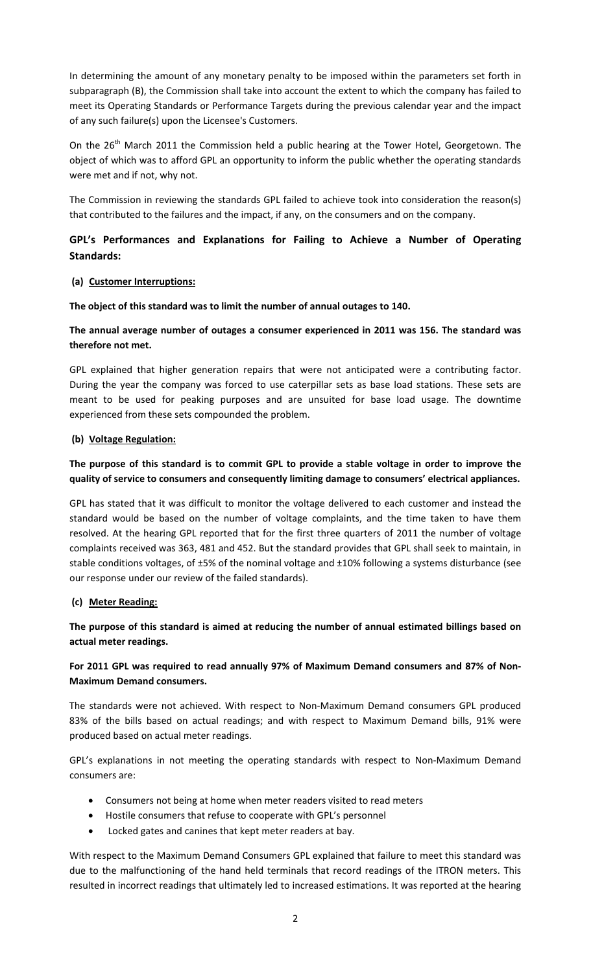In determining the amount of any monetary penalty to be imposed within the parameters set forth in subparagraph (B), the Commission shall take into account the extent to which the company has failed to meet its Operating Standards or Performance Targets during the previous calendar year and the impact of any such failure(s) upon the Licensee's Customers.

On the 26<sup>th</sup> March 2011 the Commission held a public hearing at the Tower Hotel, Georgetown. The object of which was to afford GPL an opportunity to inform the public whether the operating standards were met and if not, why not.

The Commission in reviewing the standards GPL failed to achieve took into consideration the reason(s) that contributed to the failures and the impact, if any, on the consumers and on the company.

# **GPL's Performances and Explanations for Failing to Achieve a Number of Operating Standards:**

## **(a) Customer Interruptions:**

**The object of this standard was to limit the number of annual outages to 140.**

# **The annual average number of outages a consumer experienced in 2011 was 156. The standard was therefore not met.**

GPL explained that higher generation repairs that were not anticipated were a contributing factor. During the year the company was forced to use caterpillar sets as base load stations. These sets are meant to be used for peaking purposes and are unsuited for base load usage. The downtime experienced from these sets compounded the problem.

## **(b) Voltage Regulation:**

# The purpose of this standard is to commit GPL to provide a stable voltage in order to improve the **quality of service to consumers and consequently limiting damage to consumers' electrical appliances.**

GPL has stated that it was difficult to monitor the voltage delivered to each customer and instead the standard would be based on the number of voltage complaints, and the time taken to have them resolved. At the hearing GPL reported that for the first three quarters of 2011 the number of voltage complaints received was 363, 481 and 452. But the standard provides that GPL shall seek to maintain, in stable conditions voltages, of ±5% of the nominal voltage and ±10% following a systems disturbance (see our response under our review of the failed standards).

## **(c) Meter Reading:**

**The purpose of this standard is aimed at reducing the number of annual estimated billings based on actual meter readings.**

# **For 2011 GPL was required to read annually 97% of Maximum Demand consumers and 87% of Non‐ Maximum Demand consumers.**

The standards were not achieved. With respect to Non‐Maximum Demand consumers GPL produced 83% of the bills based on actual readings; and with respect to Maximum Demand bills, 91% were produced based on actual meter readings.

GPL's explanations in not meeting the operating standards with respect to Non‐Maximum Demand consumers are:

- Consumers not being at home when meter readers visited to read meters
- Hostile consumers that refuse to cooperate with GPL's personnel
- Locked gates and canines that kept meter readers at bay.

With respect to the Maximum Demand Consumers GPL explained that failure to meet this standard was due to the malfunctioning of the hand held terminals that record readings of the ITRON meters. This resulted in incorrect readings that ultimately led to increased estimations. It was reported at the hearing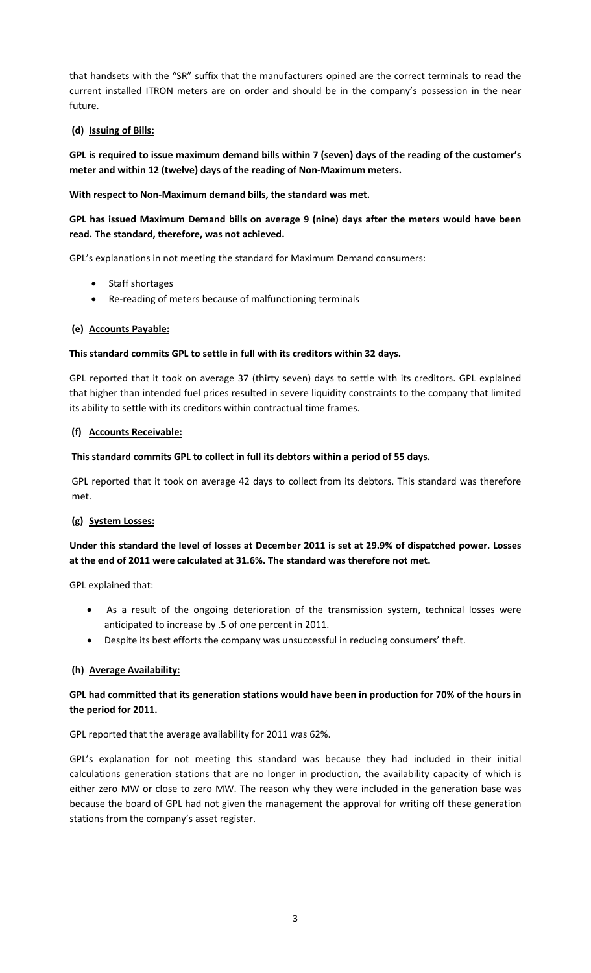that handsets with the "SR" suffix that the manufacturers opined are the correct terminals to read the current installed ITRON meters are on order and should be in the company's possession in the near future.

## **(d) Issuing of Bills:**

GPL is required to issue maximum demand bills within 7 (seven) days of the reading of the customer's **meter and within 12 (twelve) days of the reading of Non‐Maximum meters.** 

**With respect to Non‐Maximum demand bills, the standard was met.**

# **GPL has issued Maximum Demand bills on average 9 (nine) days after the meters would have been read. The standard, therefore, was not achieved.**

GPL's explanations in not meeting the standard for Maximum Demand consumers:

- Staff shortages
- Re‐reading of meters because of malfunctioning terminals

### **(e) Accounts Payable:**

### **This standard commits GPL to settle in full with its creditors within 32 days.**

GPL reported that it took on average 37 (thirty seven) days to settle with its creditors. GPL explained that higher than intended fuel prices resulted in severe liquidity constraints to the company that limited its ability to settle with its creditors within contractual time frames.

### **(f) Accounts Receivable:**

### **This standard commits GPL to collect in full its debtors within a period of 55 days.**

GPL reported that it took on average 42 days to collect from its debtors. This standard was therefore met.

## **(g) System Losses:**

# Under this standard the level of losses at December 2011 is set at 29.9% of dispatched power. Losses **at the end of 2011 were calculated at 31.6%. The standard was therefore not met.**

GPL explained that:

- As a result of the ongoing deterioration of the transmission system, technical losses were anticipated to increase by .5 of one percent in 2011.
- Despite its best efforts the company was unsuccessful in reducing consumers' theft.

## **(h) Average Availability:**

## GPL had committed that its generation stations would have been in production for 70% of the hours in **the period for 2011.**

GPL reported that the average availability for 2011 was 62%.

GPL's explanation for not meeting this standard was because they had included in their initial calculations generation stations that are no longer in production, the availability capacity of which is either zero MW or close to zero MW. The reason why they were included in the generation base was because the board of GPL had not given the management the approval for writing off these generation stations from the company's asset register.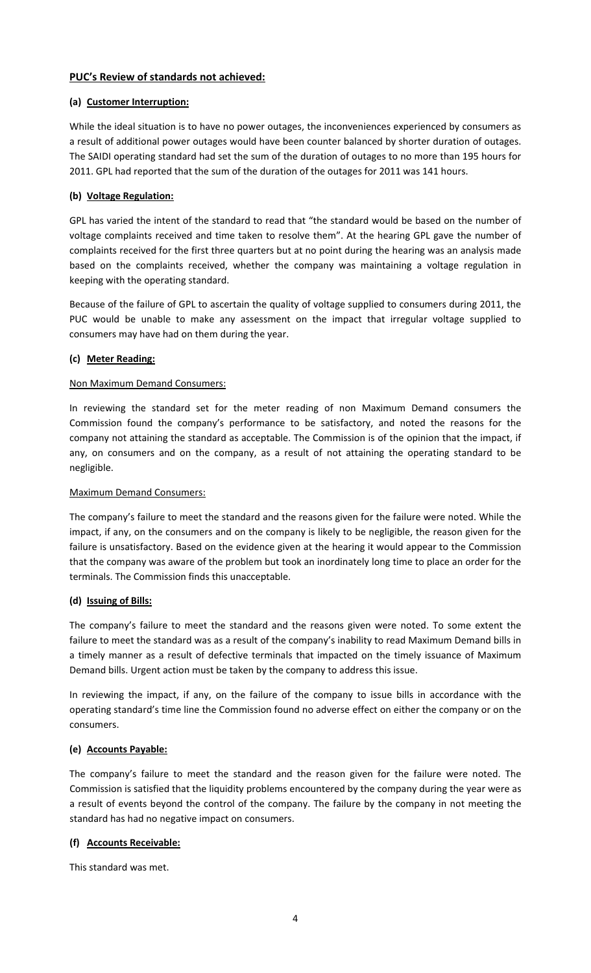## **PUC's Review of standards not achieved:**

## **(a) Customer Interruption:**

While the ideal situation is to have no power outages, the inconveniences experienced by consumers as a result of additional power outages would have been counter balanced by shorter duration of outages. The SAIDI operating standard had set the sum of the duration of outages to no more than 195 hours for 2011. GPL had reported that the sum of the duration of the outages for 2011 was 141 hours.

## **(b) Voltage Regulation:**

GPL has varied the intent of the standard to read that "the standard would be based on the number of voltage complaints received and time taken to resolve them". At the hearing GPL gave the number of complaints received for the first three quarters but at no point during the hearing was an analysis made based on the complaints received, whether the company was maintaining a voltage regulation in keeping with the operating standard.

Because of the failure of GPL to ascertain the quality of voltage supplied to consumers during 2011, the PUC would be unable to make any assessment on the impact that irregular voltage supplied to consumers may have had on them during the year.

## **(c) Meter Reading:**

# Non Maximum Demand Consumers:

In reviewing the standard set for the meter reading of non Maximum Demand consumers the Commission found the company's performance to be satisfactory, and noted the reasons for the company not attaining the standard as acceptable. The Commission is of the opinion that the impact, if any, on consumers and on the company, as a result of not attaining the operating standard to be negligible.

## Maximum Demand Consumers:

The company's failure to meet the standard and the reasons given for the failure were noted. While the impact, if any, on the consumers and on the company is likely to be negligible, the reason given for the failure is unsatisfactory. Based on the evidence given at the hearing it would appear to the Commission that the company was aware of the problem but took an inordinately long time to place an order for the terminals. The Commission finds this unacceptable.

## **(d) Issuing of Bills:**

The company's failure to meet the standard and the reasons given were noted. To some extent the failure to meet the standard was as a result of the company's inability to read Maximum Demand bills in a timely manner as a result of defective terminals that impacted on the timely issuance of Maximum Demand bills. Urgent action must be taken by the company to address this issue.

In reviewing the impact, if any, on the failure of the company to issue bills in accordance with the operating standard's time line the Commission found no adverse effect on either the company or on the consumers.

## **(e) Accounts Payable:**

The company's failure to meet the standard and the reason given for the failure were noted. The Commission is satisfied that the liquidity problems encountered by the company during the year were as a result of events beyond the control of the company. The failure by the company in not meeting the standard has had no negative impact on consumers.

# **(f) Accounts Receivable:**

This standard was met.